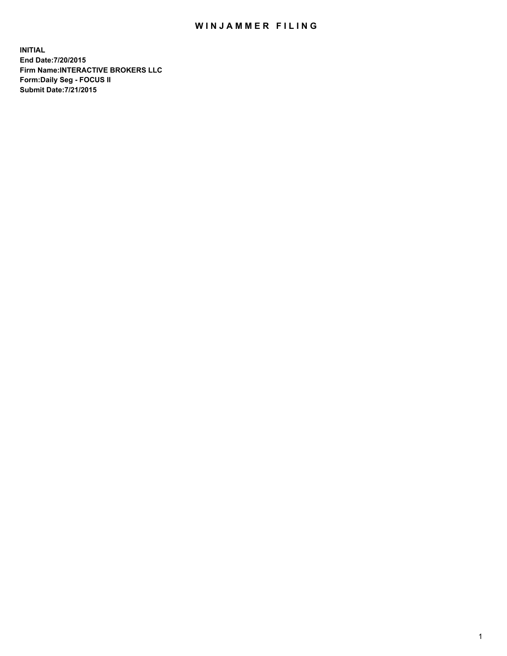## WIN JAMMER FILING

**INITIAL End Date:7/20/2015 Firm Name:INTERACTIVE BROKERS LLC Form:Daily Seg - FOCUS II Submit Date:7/21/2015**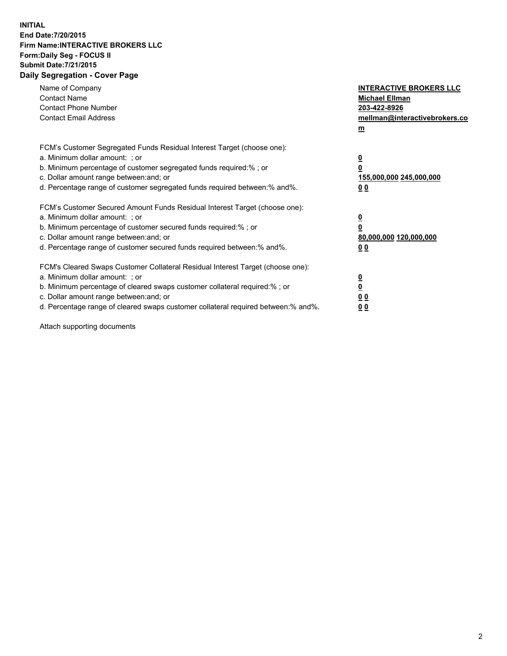## **INITIAL End Date:7/20/2015 Firm Name:INTERACTIVE BROKERS LLC Form:Daily Seg - FOCUS II Submit Date:7/21/2015 Daily Segregation - Cover Page**

| Name of Company<br><b>Contact Name</b><br><b>Contact Phone Number</b><br><b>Contact Email Address</b>                                                                                                                                                                                                                          | <b>INTERACTIVE BROKERS LLC</b><br><b>Michael Ellman</b><br>203-422-8926<br>mellman@interactivebrokers.co<br>$\underline{\mathbf{m}}$ |
|--------------------------------------------------------------------------------------------------------------------------------------------------------------------------------------------------------------------------------------------------------------------------------------------------------------------------------|--------------------------------------------------------------------------------------------------------------------------------------|
| FCM's Customer Segregated Funds Residual Interest Target (choose one):<br>a. Minimum dollar amount: ; or<br>b. Minimum percentage of customer segregated funds required:%; or<br>c. Dollar amount range between: and; or<br>d. Percentage range of customer segregated funds required between:% and%.                          | $\overline{\mathbf{0}}$<br>$\overline{\mathbf{0}}$<br>155,000,000 245,000,000<br>00                                                  |
| FCM's Customer Secured Amount Funds Residual Interest Target (choose one):<br>a. Minimum dollar amount: ; or<br>b. Minimum percentage of customer secured funds required:%; or<br>c. Dollar amount range between: and; or<br>d. Percentage range of customer secured funds required between: % and %.                          | $\overline{\mathbf{0}}$<br>0<br>80,000,000 120,000,000<br>00                                                                         |
| FCM's Cleared Swaps Customer Collateral Residual Interest Target (choose one):<br>a. Minimum dollar amount: ; or<br>b. Minimum percentage of cleared swaps customer collateral required:% ; or<br>c. Dollar amount range between: and; or<br>d. Percentage range of cleared swaps customer collateral required between:% and%. | $\overline{\mathbf{0}}$<br>$\overline{\mathbf{0}}$<br>0 <sub>0</sub><br>0 <sub>0</sub>                                               |

Attach supporting documents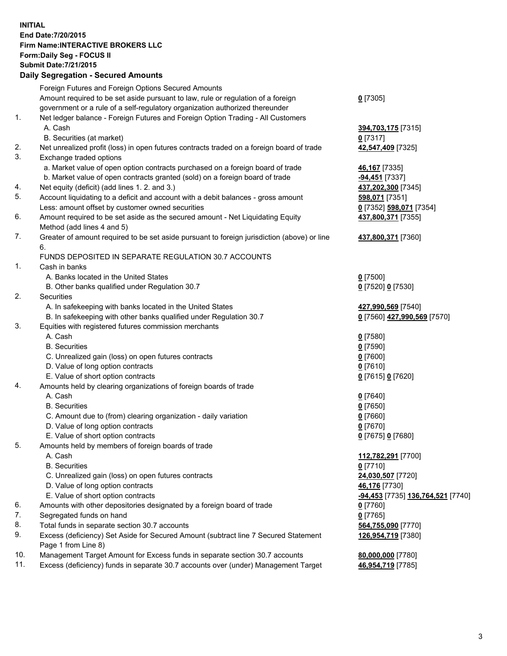## **INITIAL End Date:7/20/2015 Firm Name:INTERACTIVE BROKERS LLC Form:Daily Seg - FOCUS II Submit Date:7/21/2015 Daily Segregation - Secured Amounts**

|     | Foreign Futures and Foreign Options Secured Amounts                                         |                                                |
|-----|---------------------------------------------------------------------------------------------|------------------------------------------------|
|     | Amount required to be set aside pursuant to law, rule or regulation of a foreign            | $0$ [7305]                                     |
|     | government or a rule of a self-regulatory organization authorized thereunder                |                                                |
| 1.  | Net ledger balance - Foreign Futures and Foreign Option Trading - All Customers             |                                                |
|     | A. Cash                                                                                     | 394,703,175 [7315]                             |
|     | B. Securities (at market)                                                                   | $0$ [7317]                                     |
| 2.  | Net unrealized profit (loss) in open futures contracts traded on a foreign board of trade   | 42,547,409 [7325]                              |
| 3.  | Exchange traded options                                                                     |                                                |
|     | a. Market value of open option contracts purchased on a foreign board of trade              | 46,167 [7335]                                  |
|     | b. Market value of open contracts granted (sold) on a foreign board of trade                | -94,451 <sup>[7337]</sup>                      |
| 4.  | Net equity (deficit) (add lines 1. 2. and 3.)                                               | 437,202,300 [7345]                             |
| 5.  | Account liquidating to a deficit and account with a debit balances - gross amount           | 598,071 [7351]                                 |
|     | Less: amount offset by customer owned securities                                            | 0 [7352] 598,071 [7354]                        |
| 6.  | Amount required to be set aside as the secured amount - Net Liquidating Equity              | 437,800,371 [7355]                             |
|     | Method (add lines 4 and 5)                                                                  |                                                |
| 7.  | Greater of amount required to be set aside pursuant to foreign jurisdiction (above) or line | 437,800,371 [7360]                             |
|     | 6.                                                                                          |                                                |
|     | FUNDS DEPOSITED IN SEPARATE REGULATION 30.7 ACCOUNTS                                        |                                                |
| 1.  | Cash in banks                                                                               |                                                |
|     | A. Banks located in the United States                                                       | $0$ [7500]                                     |
|     | B. Other banks qualified under Regulation 30.7                                              | 0 [7520] 0 [7530]                              |
| 2.  | Securities                                                                                  |                                                |
|     | A. In safekeeping with banks located in the United States                                   | 427,990,569 [7540]                             |
|     | B. In safekeeping with other banks qualified under Regulation 30.7                          | 0 [7560] 427,990,569 [7570]                    |
| 3.  | Equities with registered futures commission merchants                                       |                                                |
|     | A. Cash                                                                                     | $0$ [7580]                                     |
|     | <b>B.</b> Securities                                                                        | $0$ [7590]                                     |
|     | C. Unrealized gain (loss) on open futures contracts                                         | $0$ [7600]                                     |
|     | D. Value of long option contracts                                                           | $0$ [7610]                                     |
|     | E. Value of short option contracts                                                          | 0 [7615] 0 [7620]                              |
| 4.  | Amounts held by clearing organizations of foreign boards of trade                           |                                                |
|     | A. Cash                                                                                     | $0$ [7640]                                     |
|     | <b>B.</b> Securities                                                                        | $0$ [7650]                                     |
|     | C. Amount due to (from) clearing organization - daily variation                             | $0$ [7660]                                     |
|     | D. Value of long option contracts                                                           | $0$ [7670]                                     |
|     | E. Value of short option contracts                                                          | 0 [7675] 0 [7680]                              |
| 5.  | Amounts held by members of foreign boards of trade                                          |                                                |
|     | A. Cash                                                                                     | 112,782,291 [7700]                             |
|     | <b>B.</b> Securities                                                                        | $0$ [7710]                                     |
|     | C. Unrealized gain (loss) on open futures contracts                                         | 24,030,507 [7720]                              |
|     | D. Value of long option contracts                                                           | 46,176 [7730]                                  |
|     | E. Value of short option contracts                                                          | <mark>-94,453</mark> [7735] 136,764,521 [7740] |
| 6.  | Amounts with other depositories designated by a foreign board of trade                      | $0$ [7760]                                     |
| 7.  | Segregated funds on hand                                                                    | $0$ [7765]                                     |
| 8.  | Total funds in separate section 30.7 accounts                                               | 564,755,090 [7770]                             |
| 9.  | Excess (deficiency) Set Aside for Secured Amount (subtract line 7 Secured Statement         | 126,954,719 [7380]                             |
|     | Page 1 from Line 8)                                                                         |                                                |
| 10. | Management Target Amount for Excess funds in separate section 30.7 accounts                 | 80,000,000 [7780]                              |
| 11. | Excess (deficiency) funds in separate 30.7 accounts over (under) Management Target          | 46,954,719 [7785]                              |
|     |                                                                                             |                                                |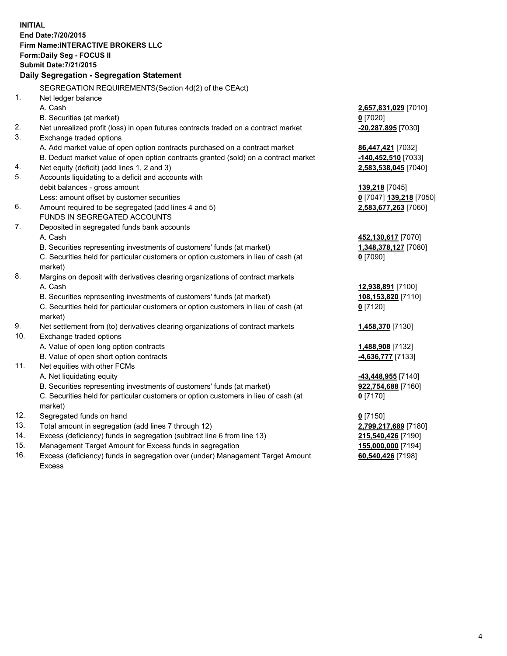**INITIAL End Date:7/20/2015 Firm Name:INTERACTIVE BROKERS LLC Form:Daily Seg - FOCUS II Submit Date:7/21/2015 Daily Segregation - Segregation Statement** SEGREGATION REQUIREMENTS(Section 4d(2) of the CEAct) 1. Net ledger balance A. Cash **2,657,831,029** [7010] B. Securities (at market) **0** [7020] 2. Net unrealized profit (loss) in open futures contracts traded on a contract market **-20,287,895** [7030] 3. Exchange traded options A. Add market value of open option contracts purchased on a contract market **86,447,421** [7032] B. Deduct market value of open option contracts granted (sold) on a contract market **-140,452,510** [7033] 4. Net equity (deficit) (add lines 1, 2 and 3) **2,583,538,045** [7040] 5. Accounts liquidating to a deficit and accounts with debit balances - gross amount **139,218** [7045] Less: amount offset by customer securities **0** [7047] **139,218** [7050] 6. Amount required to be segregated (add lines 4 and 5) **2,583,677,263** [7060] FUNDS IN SEGREGATED ACCOUNTS 7. Deposited in segregated funds bank accounts A. Cash **452,130,617** [7070] B. Securities representing investments of customers' funds (at market) **1,348,378,127** [7080] C. Securities held for particular customers or option customers in lieu of cash (at market) **0** [7090] 8. Margins on deposit with derivatives clearing organizations of contract markets A. Cash **12,938,891** [7100] B. Securities representing investments of customers' funds (at market) **108,153,820** [7110] C. Securities held for particular customers or option customers in lieu of cash (at market) **0** [7120] 9. Net settlement from (to) derivatives clearing organizations of contract markets **1,458,370** [7130] 10. Exchange traded options A. Value of open long option contracts **1,488,908** [7132] B. Value of open short option contracts **-4,636,777** [7133] 11. Net equities with other FCMs A. Net liquidating equity **-43,448,955** [7140] B. Securities representing investments of customers' funds (at market) **922,754,688** [7160] C. Securities held for particular customers or option customers in lieu of cash (at market) **0** [7170] 12. Segregated funds on hand **0** [7150] 13. Total amount in segregation (add lines 7 through 12) **2,799,217,689** [7180] 14. Excess (deficiency) funds in segregation (subtract line 6 from line 13) **215,540,426** [7190] 15. Management Target Amount for Excess funds in segregation **155,000,000** [7194]

16. Excess (deficiency) funds in segregation over (under) Management Target Amount Excess

**60,540,426** [7198]